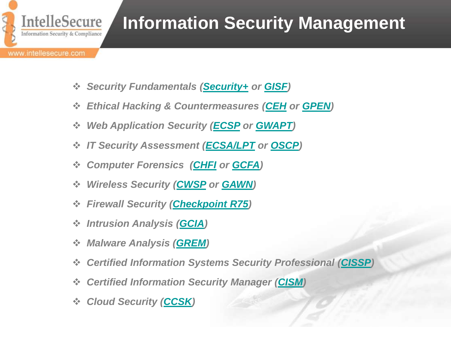

# **Information Security Management**

- *Security Fundamentals [\(Security+](#page-1-0) or [GISF\)](#page-1-0)*
- *Ethical Hacking & Countermeasures ([CEH](#page-2-0) or [GPEN\)](#page-2-0)*
- *Web Application Security [\(ECSP](#page-3-0) or [GWAPT\)](#page-3-0)*
- *IT Security Assessment [\(ECSA/LPT](#page-4-0) or [OSCP](#page-4-0))*
- *Computer Forensics [\(CHFI](#page-5-0) or [GCFA\)](#page-5-0)*
- *Wireless Security ([CWSP](#page-6-0) or [GAWN\)](#page-6-0)*
- *Firewall Security ([Checkpoint R75](#page-13-0))*
- *Intrusion Analysis [\(GCIA](#page-7-0))*
- *Malware Analysis [\(GREM\)](#page-6-0)*
- *Certified Information Systems Security Professional [\(CISSP](#page-10-0))*
- *Certified Information Security Manager ([CISM\)](#page-12-0)*
- <span id="page-0-0"></span> *Cloud Security [\(CCSK](#page-14-0))*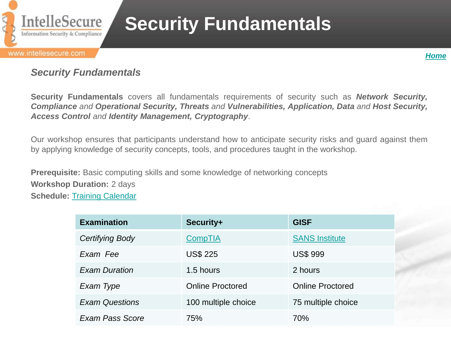

# **Security Fundamentals**

*[Home](#page-0-0)*

### *Security Fundamentals*

**Security Fundamentals** covers all fundamentals requirements of security such as *Network Security, Compliance and Operational Security, Threats and Vulnerabilities, Application, Data and Host Security, Access Control and Identity Management, Cryptography*.

Our workshop ensures that participants understand how to anticipate security risks and guard against them by applying knowledge of security concepts, tools, and procedures taught in the workshop.

**Prerequisite:** Basic computing skills and some knowledge of networking concepts **Workshop Duration:** 2 days **Schedule:** [Training Calendar](http://www.intellesecure.com/training_calendar.php)

<span id="page-1-0"></span>

| <b>Examination</b>     | Security+               | <b>GISF</b>             |
|------------------------|-------------------------|-------------------------|
| Certifying Body        | <b>CompTIA</b>          | <b>SANS Institute</b>   |
| Exam Fee               | <b>US\$ 225</b>         | <b>US\$ 999</b>         |
| <b>Exam Duration</b>   | 1.5 hours               | 2 hours                 |
| Exam Type              | <b>Online Proctored</b> | <b>Online Proctored</b> |
| <b>Exam Questions</b>  | 100 multiple choice     | 75 multiple choice      |
| <b>Exam Pass Score</b> | 75%                     | 70%                     |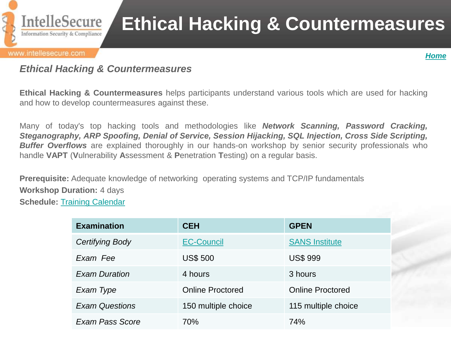

# **Ethical Hacking & Countermeasures**

#### www.intellesecure.com



### *Ethical Hacking & Countermeasures*

**Ethical Hacking & Countermeasures** helps participants understand various tools which are used for hacking and how to develop countermeasures against these.

Many of today's top hacking tools and methodologies like *Network Scanning, Password Cracking, Steganography, ARP Spoofing, Denial of Service, Session Hijacking, SQL Injection, Cross Side Scripting,* **Buffer Overflows** are explained thoroughly in our hands-on workshop by senior security professionals who handle **VAPT** (**V**ulnerability **A**ssessment & **P**enetration **T**esting) on a regular basis.

**Prerequisite:** Adequate knowledge of networking operating systems and TCP/IP fundamentals **Workshop Duration:** 4 days **Schedule:** [Training](http://www.intellesecure.com/training_calendar.php) [Calendar](http://www.intellesecure.com/training_calendar.php)

<span id="page-2-0"></span>

| <b>Examination</b>     | <b>CEH</b>              | <b>GPEN</b>             |
|------------------------|-------------------------|-------------------------|
| Certifying Body        | <b>EC-Council</b>       | <b>SANS Institute</b>   |
| Exam Fee               | <b>US\$ 500</b>         | <b>US\$ 999</b>         |
| <b>Exam Duration</b>   | 4 hours                 | 3 hours                 |
| Exam Type              | <b>Online Proctored</b> | <b>Online Proctored</b> |
| <b>Exam Questions</b>  | 150 multiple choice     | 115 multiple choice     |
| <b>Exam Pass Score</b> | 70%                     | 74%                     |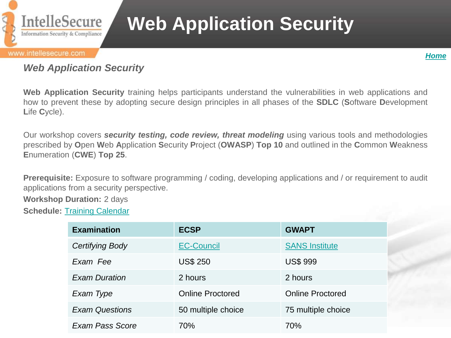

# **Web Application Security**

#### www.intellesecure.com



### *Web Application Security*

**Web Application Security** training helps participants understand the vulnerabilities in web applications and how to prevent these by adopting secure design principles in all phases of the **SDLC** (**S**oftware **D**evelopment **L**ife **C**ycle).

Our workshop covers *security testing, code review, threat modeling* using various tools and methodologies prescribed by **O**pen **W**eb **A**pplication **S**ecurity **P**roject (**OWASP**) **Top 10** and outlined in the **C**ommon **W**eakness **E**numeration (**CWE**) **Top 25**.

**Prerequisite:** Exposure to software programming / coding, developing applications and / or requirement to audit applications from a security perspective.

**Workshop Duration:** 2 days

<span id="page-3-0"></span>**Schedule:** [Training Calendar](http://www.intellesecure.com/training_calendar.php)

| <b>Examination</b>     | <b>ECSP</b>             | <b>GWAPT</b>            |
|------------------------|-------------------------|-------------------------|
| Certifying Body        | <b>EC-Council</b>       | <b>SANS Institute</b>   |
| Exam Fee               | <b>US\$ 250</b>         | <b>US\$ 999</b>         |
| <b>Exam Duration</b>   | 2 hours                 | 2 hours                 |
| Exam Type              | <b>Online Proctored</b> | <b>Online Proctored</b> |
| <b>Exam Questions</b>  | 50 multiple choice      | 75 multiple choice      |
| <b>Exam Pass Score</b> | 70%                     | 70%                     |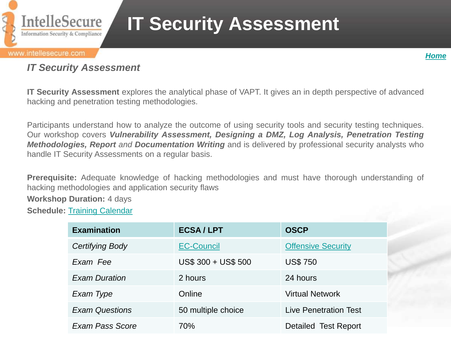

# **IT Security Assessment**



### *IT Security Assessment*

**IT Security Assessment** explores the analytical phase of VAPT. It gives an in depth perspective of advanced hacking and penetration testing methodologies.

Participants understand how to analyze the outcome of using security tools and security testing techniques. Our workshop covers *Vulnerability Assessment, Designing a DMZ, Log Analysis, Penetration Testing Methodologies, Report and Documentation Writing* and is delivered by professional security analysts who handle IT Security Assessments on a regular basis.

**Prerequisite:** Adequate knowledge of hacking methodologies and must have thorough understanding of hacking methodologies and application security flaws

**Workshop Duration:** 4 days

<span id="page-4-0"></span>**Schedule:** [Training](http://www.intellesecure.com/training_calendar.php) [Calendar](http://www.intellesecure.com/training_calendar.php)

| <b>Examination</b>    | <b>ECSA/LPT</b>     | <b>OSCP</b>               |
|-----------------------|---------------------|---------------------------|
| Certifying Body       | <b>EC-Council</b>   | <b>Offensive Security</b> |
| Exam Fee              | US\$ 300 + US\$ 500 | <b>US\$750</b>            |
| <b>Exam Duration</b>  | 2 hours             | 24 hours                  |
| Exam Type             | Online              | <b>Virtual Network</b>    |
| <b>Exam Questions</b> | 50 multiple choice  | Live Penetration Test     |
| Exam Pass Score       | 70%                 | Detailed Test Report      |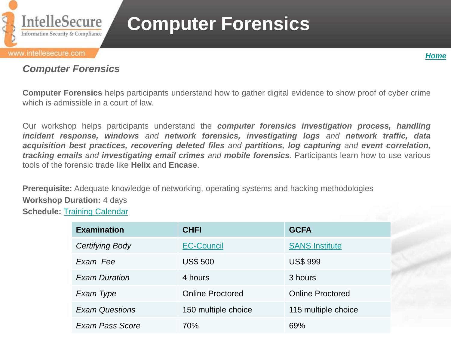

# **Computer Forensics**

## *Computer Forensics*

**Computer Forensics** helps participants understand how to gather digital evidence to show proof of cyber crime which is admissible in a court of law.

Our workshop helps participants understand the *computer forensics investigation process, handling incident response, windows and network forensics, investigating logs and network traffic, data acquisition best practices, recovering deleted files and partitions, log capturing and event correlation, tracking emails and investigating email crimes and mobile forensics*. Participants learn how to use various tools of the forensic trade like **Helix** and **Encase**.

**Prerequisite:** Adequate knowledge of networking, operating systems and hacking methodologies **Workshop Duration:** 4 days **Schedule:** [Training](http://www.intellesecure.com/training_calendar.php) [Calendar](http://www.intellesecure.com/training_calendar.php)

<span id="page-5-0"></span>

| <b>Examination</b>    | <b>CHFI</b>             | <b>GCFA</b>             |
|-----------------------|-------------------------|-------------------------|
| Certifying Body       | <b>EC-Council</b>       | <b>SANS Institute</b>   |
| Exam Fee              | <b>US\$ 500</b>         | <b>US\$ 999</b>         |
| <b>Exam Duration</b>  | 4 hours                 | 3 hours                 |
| Exam Type             | <b>Online Proctored</b> | <b>Online Proctored</b> |
| <b>Exam Questions</b> | 150 multiple choice     | 115 multiple choice     |
| Exam Pass Score       | 70%                     | 69%                     |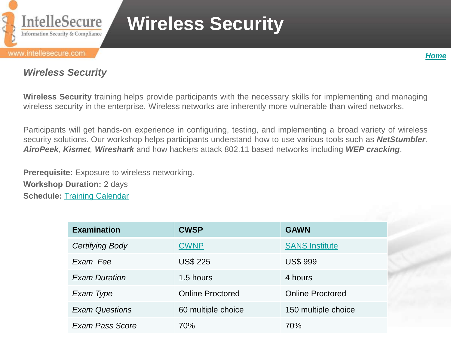

# **Wireless Security**

#### www.intellesecure.com



### *Wireless Security*

**Wireless Security** training helps provide participants with the necessary skills for implementing and managing wireless security in the enterprise. Wireless networks are inherently more vulnerable than wired networks.

Participants will get hands-on experience in configuring, testing, and implementing a broad variety of wireless security solutions. Our workshop helps participants understand how to use various tools such as *NetStumbler, AiroPeek, Kismet, Wireshark* and how hackers attack 802.11 based networks including *WEP cracking*.

**Prerequisite:** Exposure to wireless networking. **Workshop Duration:** 2 days **Schedule:** [Training](http://www.intellesecure.com/training_calendar.php) [Calendar](http://www.intellesecure.com/training_calendar.php)

<span id="page-6-0"></span>

| <b>Examination</b>     | <b>CWSP</b>             | <b>GAWN</b>             |
|------------------------|-------------------------|-------------------------|
| <b>Certifying Body</b> | <b>CWNP</b>             | <b>SANS Institute</b>   |
| Exam Fee               | <b>US\$ 225</b>         | <b>US\$ 999</b>         |
| <b>Exam Duration</b>   | 1.5 hours               | 4 hours                 |
| Exam Type              | <b>Online Proctored</b> | <b>Online Proctored</b> |
| <b>Exam Questions</b>  | 60 multiple choice      | 150 multiple choice     |
| Exam Pass Score        | 70%                     | 70%                     |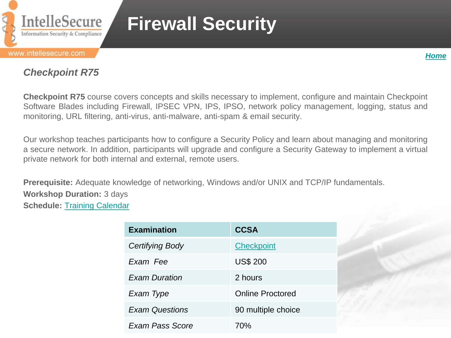

# **Firewall Security**

#### www.intellesecure.com

*[Home](#page-0-0)*

## *Checkpoint R75*

**Checkpoint R75** course covers concepts and skills necessary to implement, configure and maintain Checkpoint Software Blades including Firewall, IPSEC VPN, IPS, IPSO, network policy management, logging, status and monitoring, URL filtering, anti-virus, anti-malware, anti-spam & email security.

Our workshop teaches participants how to configure a Security Policy and learn about managing and monitoring a secure network. In addition, participants will upgrade and configure a Security Gateway to implement a virtual private network for both internal and external, remote users.

<span id="page-7-0"></span>**Prerequisite:** Adequate knowledge of networking, Windows and/or UNIX and TCP/IP fundamentals. **Workshop Duration:** 3 days **Schedule:** [Training](http://www.intellesecure.com/training_calendar.php) [Calendar](http://www.intellesecure.com/training_calendar.php)

| <b>Examination</b>    | <b>CCSA</b>             |
|-----------------------|-------------------------|
| Certifying Body       | <b>Checkpoint</b>       |
| Exam Fee              | <b>US\$ 200</b>         |
| <b>Exam Duration</b>  | 2 hours                 |
| Exam Type             | <b>Online Proctored</b> |
| <b>Exam Questions</b> | 90 multiple choice      |
| Exam Pass Score       | 70%                     |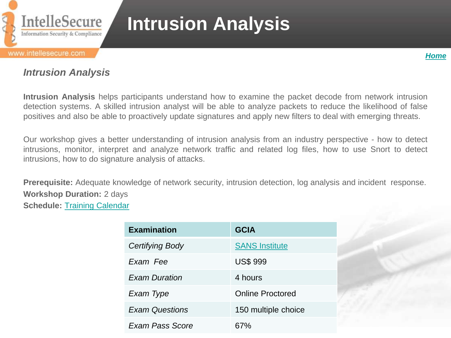

# **Intrusion Analysis**

#### www.intellesecure.com



### *Intrusion Analysis*

**Intrusion Analysis** helps participants understand how to examine the packet decode from network intrusion detection systems. A skilled intrusion analyst will be able to analyze packets to reduce the likelihood of false positives and also be able to proactively update signatures and apply new filters to deal with emerging threats.

Our workshop gives a better understanding of intrusion analysis from an industry perspective - how to detect intrusions, monitor, interpret and analyze network traffic and related log files, how to use Snort to detect intrusions, how to do signature analysis of attacks.

**Prerequisite:** Adequate knowledge of network security, intrusion detection, log analysis and incident response. **Workshop Duration:** 2 days **Schedule:** [Training](http://www.intellesecure.com/training_calendar.php) [Calendar](http://www.intellesecure.com/training_calendar.php)

| <b>Examination</b>     | <b>GCIA</b>             |
|------------------------|-------------------------|
| Certifying Body        | <b>SANS Institute</b>   |
| Exam Fee               | <b>US\$ 999</b>         |
| <b>Exam Duration</b>   | 4 hours                 |
| Exam Type              | <b>Online Proctored</b> |
| <b>Exam Questions</b>  | 150 multiple choice     |
| <b>Exam Pass Score</b> | 67%                     |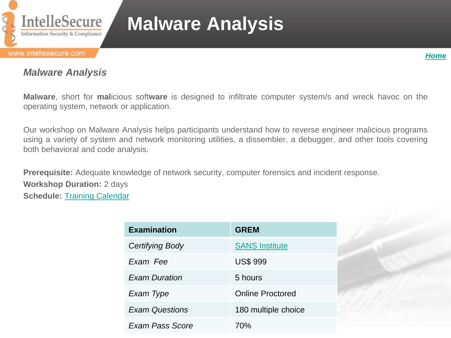

# **Malware Analysis**

#### www.intellesecure.com



### *Malware Analysis*

**Malware**, short for **mal**icious soft**ware** is designed to infiltrate computer system/s and wreck havoc on the operating system, network or application.

Our workshop on Malware Analysis helps participants understand how to reverse engineer malicious programs using a variety of system and network monitoring utilities, a dissembler, a debugger, and other tools covering both behavioral and code analysis.

**Prerequisite:** Adequate knowledge of network security, computer forensics and incident response. **Workshop Duration:** 2 days **Schedule:** [Training](http://www.intellesecure.com/training_calendar.php) [Calendar](http://www.intellesecure.com/training_calendar.php)

| <b>Examination</b>    | <b>GREM</b>             |
|-----------------------|-------------------------|
| Certifying Body       | <b>SANS Institute</b>   |
| Exam Fee              | <b>US\$ 999</b>         |
| <b>Exam Duration</b>  | 5 hours                 |
| Exam Type             | <b>Online Proctored</b> |
| <b>Exam Questions</b> | 180 multiple choice     |
| Exam Pass Score       | 70%                     |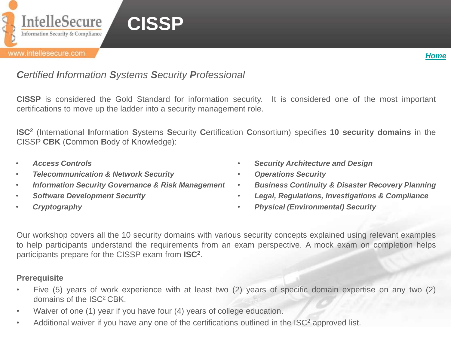



## *Certified Information Systems Security Professional*

**CISSP** is considered the Gold Standard for information security. It is considered one of the most important certifications to move up the ladder into a security management role.

**ISC<sup>2</sup>** (**I**nternational **I**nformation **S**ystems **S**ecurity **C**ertification **C**onsortium) specifies **10 security domains** in the CISSP **CBK** (**C**ommon **B**ody of **K**nowledge):

- *Access Controls*
- *Telecommunication & Network Security*
- *Information Security Governance & Risk Management*
- *Software Development Security*
- *Cryptography*
- *Security Architecture and Design*
- *Operations Security*
- *Business Continuity & Disaster Recovery Planning*
- *Legal, Regulations, Investigations & Compliance*
- *Physical (Environmental) Security*

Our workshop covers all the 10 security domains with various security concepts explained using relevant examples to help participants understand the requirements from an exam perspective. A mock exam on completion helps participants prepare for the CISSP exam from **ISC<sup>2</sup>** .

#### **Prerequisite**

- Five (5) years of work experience with at least two (2) years of specific domain expertise on any two (2) domains of the ISC<sup>2</sup> CBK.
- Waiver of one (1) year if you have four (4) years of college education.
- <span id="page-10-0"></span>• Additional waiver if you have any one of the certifications outlined in the ISC<sup>2</sup> approved list.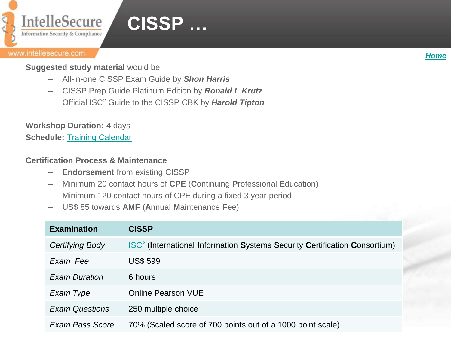

## **CISSP …**

#### www.intellesecure.com

*[Home](#page-0-0)*

**Suggested study material** would be

- All-in-one CISSP Exam Guide by *Shon Harris*
- CISSP Prep Guide Platinum Edition by *Ronald L Krutz*
- Official ISC<sup>2</sup> Guide to the CISSP CBK by *Harold Tipton*

**Workshop Duration:** 4 days

**Schedule:** [Training Calendar](http://www.intellesecure.com/training_calendar.php)

### **Certification Process & Maintenance**

- **Endorsement** from existing CISSP
- Minimum 20 contact hours of **CPE** (**C**ontinuing **P**rofessional **E**ducation)
- Minimum 120 contact hours of CPE during a fixed 3 year period
- US\$ 85 towards **AMF** (**A**nnual **M**aintenance **F**ee)

| <b>Examination</b>     | <b>CISSP</b>                                                                                 |
|------------------------|----------------------------------------------------------------------------------------------|
| <b>Certifying Body</b> | <b>ISC<sup>2</sup></b> (International Information Systems Security Certification Consortium) |
| Exam Fee               | <b>US\$ 599</b>                                                                              |
| <b>Exam Duration</b>   | 6 hours                                                                                      |
| Exam Type              | <b>Online Pearson VUE</b>                                                                    |
| <b>Exam Questions</b>  | 250 multiple choice                                                                          |
| Exam Pass Score        | 70% (Scaled score of 700 points out of a 1000 point scale)                                   |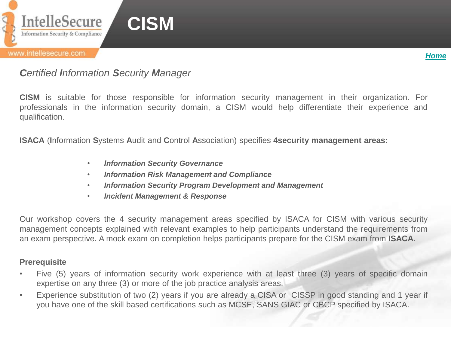

## *Certified Information Security Manager*

**CISM** is suitable for those responsible for information security management in their organization. For professionals in the information security domain, a CISM would help differentiate their experience and qualification.

**ISACA** (**I**nformation **S**ystems **A**udit and **C**ontrol **A**ssociation) specifies **4security management areas:**

- *Information Security Governance*
- *Information Risk Management and Compliance*
- *Information Security Program Development and Management*
- *Incident Management & Response*

Our workshop covers the 4 security management areas specified by ISACA for CISM with various security management concepts explained with relevant examples to help participants understand the requirements from an exam perspective. A mock exam on completion helps participants prepare for the CISM exam from **ISACA**.

#### **Prerequisite**

- Five (5) years of information security work experience with at least three (3) years of specific domain expertise on any three (3) or more of the job practice analysis areas.
- <span id="page-12-0"></span>• Experience substitution of two (2) years if you are already a CISA or CISSP in good standing and 1 year if you have one of the skill based certifications such as MCSE, SANS GIAC or CBCP specified by ISACA.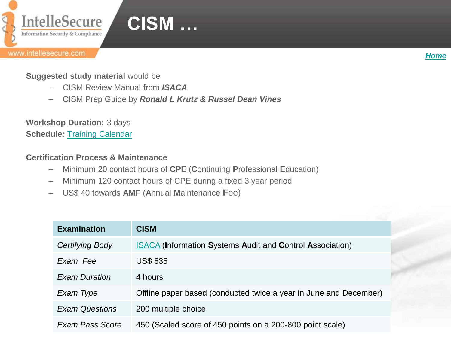

#### *[Home](#page-0-0)*

### **Suggested study material** would be

- CISM Review Manual from *ISACA*
- CISM Prep Guide by *Ronald L Krutz & Russel Dean Vines*

**Workshop Duration:** 3 days **Schedule: [Training Calendar](http://www.intellesecure.com/training_calendar.php)** 

### **Certification Process & Maintenance**

- Minimum 20 contact hours of **CPE** (**C**ontinuing **P**rofessional **E**ducation)
- Minimum 120 contact hours of CPE during a fixed 3 year period
- US\$ 40 towards **AMF** (**A**nnual **M**aintenance **F**ee)

<span id="page-13-0"></span>

| <b>Examination</b>    | <b>CISM</b>                                                       |
|-----------------------|-------------------------------------------------------------------|
| Certifying Body       | <b>ISACA (Information Systems Audit and Control Association)</b>  |
| Exam Fee              | <b>US\$ 635</b>                                                   |
| <b>Exam Duration</b>  | 4 hours                                                           |
| Exam Type             | Offline paper based (conducted twice a year in June and December) |
| <b>Exam Questions</b> | 200 multiple choice                                               |
| Exam Pass Score       | 450 (Scaled score of 450 points on a 200-800 point scale)         |